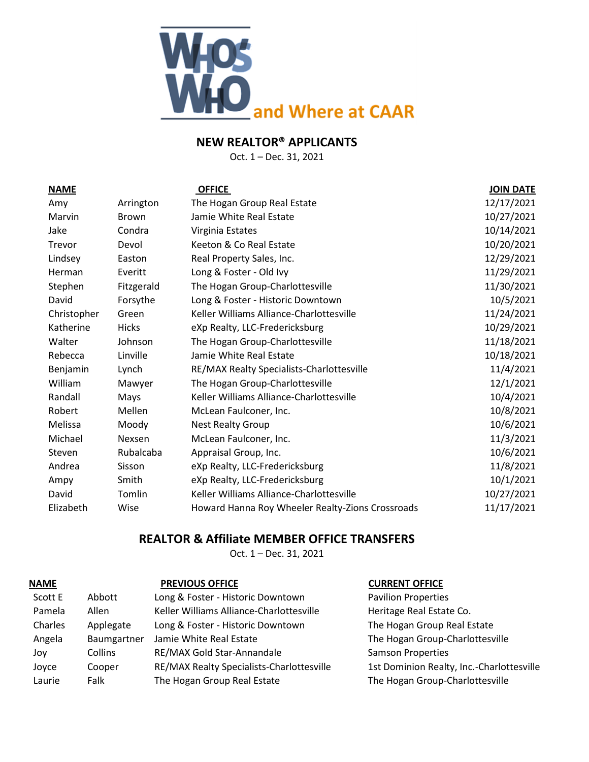

Oct. 1 – Dec. 31, 2021

| <b>NAME</b> |               | <b>OFFICE</b>                                    | <b>JOIN DATE</b> |
|-------------|---------------|--------------------------------------------------|------------------|
| Amy         | Arrington     | The Hogan Group Real Estate                      | 12/17/2021       |
| Marvin      | Brown         | Jamie White Real Estate                          | 10/27/2021       |
| Jake        | Condra        | Virginia Estates                                 | 10/14/2021       |
| Trevor      | Devol         | Keeton & Co Real Estate                          | 10/20/2021       |
| Lindsey     | Easton        | Real Property Sales, Inc.                        | 12/29/2021       |
| Herman      | Everitt       | Long & Foster - Old Ivy                          | 11/29/2021       |
| Stephen     | Fitzgerald    | The Hogan Group-Charlottesville                  | 11/30/2021       |
| David       | Forsythe      | Long & Foster - Historic Downtown                | 10/5/2021        |
| Christopher | Green         | Keller Williams Alliance-Charlottesville         | 11/24/2021       |
| Katherine   | <b>Hicks</b>  | eXp Realty, LLC-Fredericksburg                   | 10/29/2021       |
| Walter      | Johnson       | The Hogan Group-Charlottesville                  | 11/18/2021       |
| Rebecca     | Linville      | Jamie White Real Estate                          | 10/18/2021       |
| Benjamin    | Lynch         | RE/MAX Realty Specialists-Charlottesville        | 11/4/2021        |
| William     | Mawyer        | The Hogan Group-Charlottesville                  | 12/1/2021        |
| Randall     | Mays          | Keller Williams Alliance-Charlottesville         | 10/4/2021        |
| Robert      | Mellen        | McLean Faulconer, Inc.                           | 10/8/2021        |
| Melissa     | Moody         | <b>Nest Realty Group</b>                         | 10/6/2021        |
| Michael     | <b>Nexsen</b> | McLean Faulconer, Inc.                           | 11/3/2021        |
| Steven      | Rubalcaba     | Appraisal Group, Inc.                            | 10/6/2021        |
| Andrea      | Sisson        | eXp Realty, LLC-Fredericksburg                   | 11/8/2021        |
| Ampy        | Smith         | eXp Realty, LLC-Fredericksburg                   | 10/1/2021        |
| David       | Tomlin        | Keller Williams Alliance-Charlottesville         | 10/27/2021       |
| Elizabeth   | Wise          | Howard Hanna Roy Wheeler Realty-Zions Crossroads | 11/17/2021       |

## **REALTOR & Affiliate MEMBER OFFICE TRANSFERS**

Oct. 1 – Dec. 31, 2021

| <b>NAME</b> |             | <b>PREVIOUS OFFICE</b>                    | <b>CURRENT OFFICE</b>                     |
|-------------|-------------|-------------------------------------------|-------------------------------------------|
| Scott E     | Abbott      | Long & Foster - Historic Downtown         | <b>Pavilion Properties</b>                |
| Pamela      | Allen       | Keller Williams Alliance-Charlottesville  | Heritage Real Estate Co.                  |
| Charles     | Applegate   | Long & Foster - Historic Downtown         | The Hogan Group Real Estate               |
| Angela      | Baumgartner | Jamie White Real Estate                   | The Hogan Group-Charlottesville           |
| Jov         | Collins     | RE/MAX Gold Star-Annandale                | <b>Samson Properties</b>                  |
| Joyce       | Cooper      | RE/MAX Realty Specialists-Charlottesville | 1st Dominion Realty, Inc.-Charlottesville |
| Laurie      | Falk        | The Hogan Group Real Estate               | The Hogan Group-Charlottesville           |
|             |             |                                           |                                           |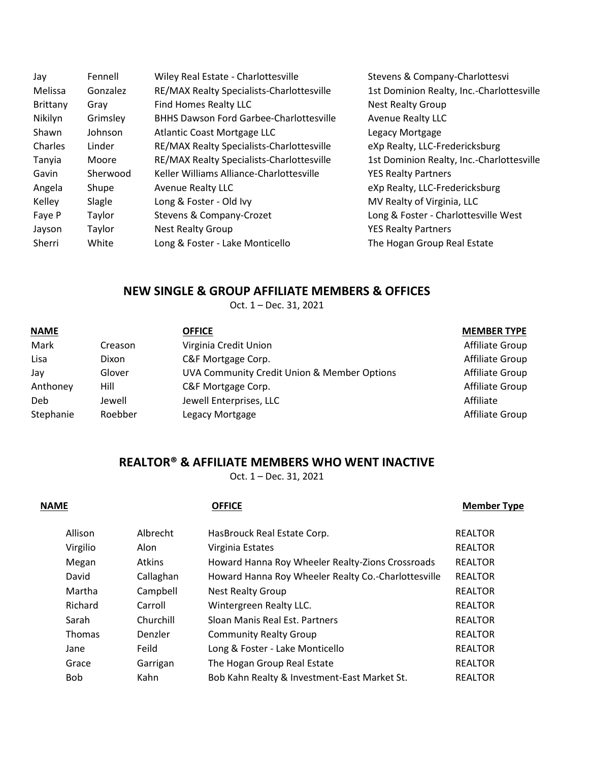| Jay      | Fennell  | Wiley Real Estate - Charlottesville            | Stevens & Company-Charlottesvi            |
|----------|----------|------------------------------------------------|-------------------------------------------|
| Melissa  | Gonzalez | RE/MAX Realty Specialists-Charlottesville      | 1st Dominion Realty, Inc.-Charlottesville |
| Brittany | Gray     | Find Homes Realty LLC                          | <b>Nest Realty Group</b>                  |
| Nikilyn  | Grimsley | <b>BHHS Dawson Ford Garbee-Charlottesville</b> | <b>Avenue Realty LLC</b>                  |
| Shawn    | Johnson  | Atlantic Coast Mortgage LLC                    | Legacy Mortgage                           |
| Charles  | Linder   | RE/MAX Realty Specialists-Charlottesville      | eXp Realty, LLC-Fredericksburg            |
| Tanyia   | Moore    | RE/MAX Realty Specialists-Charlottesville      | 1st Dominion Realty, Inc.-Charlottesville |
| Gavin    | Sherwood | Keller Williams Alliance-Charlottesville       | <b>YES Realty Partners</b>                |
| Angela   | Shupe    | <b>Avenue Realty LLC</b>                       | eXp Realty, LLC-Fredericksburg            |
| Kelley   | Slagle   | Long & Foster - Old Ivy                        | MV Realty of Virginia, LLC                |
| Faye P   | Taylor   | Stevens & Company-Crozet                       | Long & Foster - Charlottesville West      |
| Jayson   | Taylor   | <b>Nest Realty Group</b>                       | <b>YES Realty Partners</b>                |
| Sherri   | White    | Long & Foster - Lake Monticello                | The Hogan Group Real Estate               |

## **NEW SINGLE & GROUP AFFILIATE MEMBERS & OFFICES**

Oct. 1 – Dec. 31, 2021

| <b>NAME</b> |         | <b>OFFICE</b>                               | <b>MEMBER TYPE</b> |
|-------------|---------|---------------------------------------------|--------------------|
| Mark        | Creason | Virginia Credit Union                       | Affiliate Group    |
| Lisa        | Dixon   | C&F Mortgage Corp.                          | Affiliate Group    |
| Jay         | Glover  | UVA Community Credit Union & Member Options | Affiliate Group    |
| Anthoney    | Hill    | C&F Mortgage Corp.                          | Affiliate Group    |
| Deb         | Jewell  | Jewell Enterprises, LLC                     | Affiliate          |
| Stephanie   | Roebber | Legacy Mortgage                             | Affiliate Group    |

## **REALTOR® & AFFILIATE MEMBERS WHO WENT INACTIVE**

Oct. 1 – Dec. 31, 2021

| <b>NAME</b>   |               | <b>OFFICE</b>                                       | <b>Member Type</b> |
|---------------|---------------|-----------------------------------------------------|--------------------|
| Allison       | Albrecht      | HasBrouck Real Estate Corp.                         | <b>REALTOR</b>     |
| Virgilio      | Alon          | Virginia Estates                                    | <b>REALTOR</b>     |
| Megan         | <b>Atkins</b> | Howard Hanna Roy Wheeler Realty-Zions Crossroads    | <b>REALTOR</b>     |
| David         | Callaghan     | Howard Hanna Roy Wheeler Realty Co.-Charlottesville | <b>REALTOR</b>     |
| Martha        | Campbell      | <b>Nest Realty Group</b>                            | <b>REALTOR</b>     |
| Richard       | Carroll       | Wintergreen Realty LLC.                             | <b>REALTOR</b>     |
| Sarah         | Churchill     | Sloan Manis Real Est. Partners                      | <b>REALTOR</b>     |
| <b>Thomas</b> | Denzler       | <b>Community Realty Group</b>                       | <b>REALTOR</b>     |
| Jane          | Feild         | Long & Foster - Lake Monticello                     | <b>REALTOR</b>     |
| Grace         | Garrigan      | The Hogan Group Real Estate                         | <b>REALTOR</b>     |
| <b>Bob</b>    | Kahn          | Bob Kahn Realty & Investment-East Market St.        | <b>REALTOR</b>     |